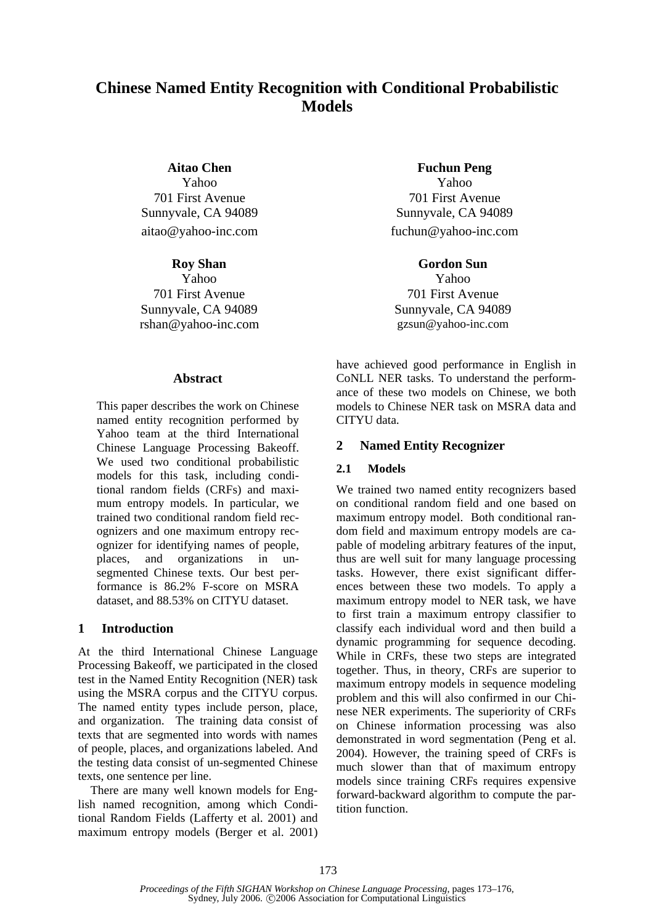# **Chinese Named Entity Recognition with Conditional Probabilistic Models**

**Aitao Chen** 

Yahoo 701 First Avenue Sunnyvale, CA 94089 aitao@yahoo-inc.com

**Roy Shan** 

Yahoo 701 First Avenue Sunnyvale, CA 94089 rshan@yahoo-inc.com

#### **Abstract**

This paper describes the work on Chinese named entity recognition performed by Yahoo team at the third International Chinese Language Processing Bakeoff. We used two conditional probabilistic models for this task, including conditional random fields (CRFs) and maximum entropy models. In particular, we trained two conditional random field recognizers and one maximum entropy recognizer for identifying names of people, places, and organizations in unsegmented Chinese texts. Our best performance is 86.2% F-score on MSRA dataset, and 88.53% on CITYU dataset.

#### **1 Introduction**

At the third International Chinese Language Processing Bakeoff, we participated in the closed test in the Named Entity Recognition (NER) task using the MSRA corpus and the CITYU corpus. The named entity types include person, place, and organization. The training data consist of texts that are segmented into words with names of people, places, and organizations labeled. And the testing data consist of un-segmented Chinese texts, one sentence per line.

There are many well known models for English named recognition, among which Conditional Random Fields (Lafferty et al. 2001) and maximum entropy models (Berger et al. 2001)

**Fuchun Peng**  Yahoo 701 First Avenue Sunnyvale, CA 94089 fuchun@yahoo-inc.com

**Gordon Sun** 

Yahoo 701 First Avenue Sunnyvale, CA 94089 gzsun@yahoo-inc.com

have achieved good performance in English in CoNLL NER tasks. To understand the performance of these two models on Chinese, we both models to Chinese NER task on MSRA data and CITYU data.

## **2 Named Entity Recognizer**

#### **2.1 Models**

We trained two named entity recognizers based on conditional random field and one based on maximum entropy model. Both conditional random field and maximum entropy models are capable of modeling arbitrary features of the input, thus are well suit for many language processing tasks. However, there exist significant differences between these two models. To apply a maximum entropy model to NER task, we have to first train a maximum entropy classifier to classify each individual word and then build a dynamic programming for sequence decoding. While in CRFs, these two steps are integrated together. Thus, in theory, CRFs are superior to maximum entropy models in sequence modeling problem and this will also confirmed in our Chinese NER experiments. The superiority of CRFs on Chinese information processing was also demonstrated in word segmentation (Peng et al. 2004). However, the training speed of CRFs is much slower than that of maximum entropy models since training CRFs requires expensive forward-backward algorithm to compute the partition function.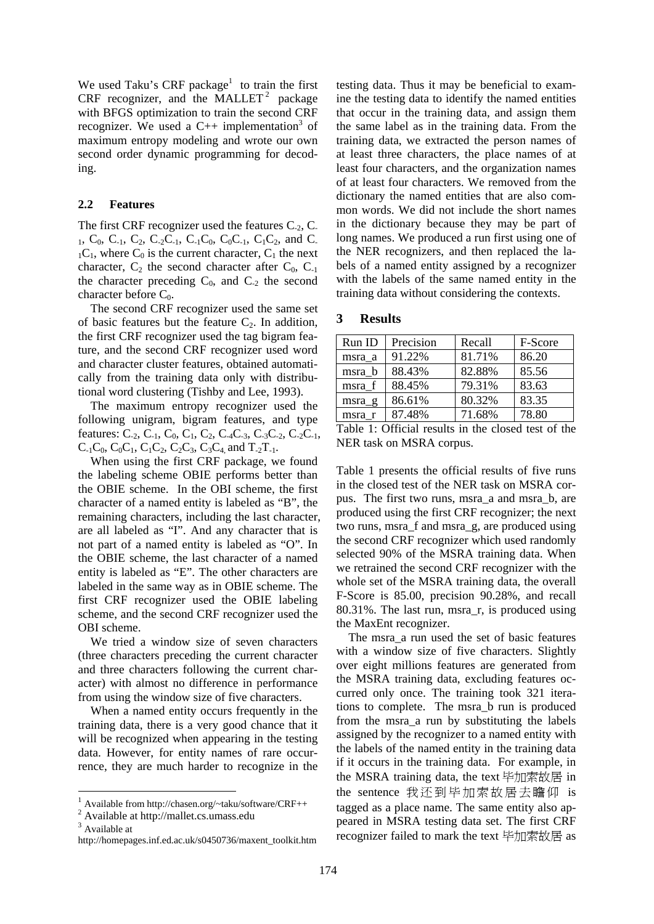We used Taku's CRF package<sup>1</sup> to train the first CRF recognizer, and the MALLET<sup>2</sup> package with BFGS optimization to train the second CRF recognizer. We used a  $C_{++}$  implementation<sup>3</sup> of maximum entropy modeling and wrote our own second order dynamic programming for decoding.

#### **2.2 Features**

The first CRF recognizer used the features  $C_{-2}$ ,  $C_{-2}$ 1,  $C_0$ ,  $C_{-1}$ ,  $C_2$ ,  $C_{-2}C_{-1}$ ,  $C_{-1}C_0$ ,  $C_0C_{-1}$ ,  $C_1C_2$ , and  $C_{-1}$  $_1C_1$ , where  $C_0$  is the current character,  $C_1$  the next character,  $C_2$  the second character after  $C_0$ ,  $C_{-1}$ the character preceding  $C_0$ , and  $C_{-2}$  the second character before  $C_0$ .

The second CRF recognizer used the same set of basic features but the feature  $C_2$ . In addition, the first CRF recognizer used the tag bigram feature, and the second CRF recognizer used word and character cluster features, obtained automatically from the training data only with distributional word clustering (Tishby and Lee, 1993).

The maximum entropy recognizer used the following unigram, bigram features, and type features:  $C_{-2}$ ,  $C_{-1}$ ,  $C_0$ ,  $C_1$ ,  $C_2$ ,  $C_{-4}C_{-3}$ ,  $C_{-3}C_{-2}$ ,  $C_{-2}C_{-1}$ ,  $C_{-1}C_0$ ,  $C_0C_1$ ,  $C_1C_2$ ,  $C_2C_3$ ,  $C_3C_4$  and  $T_{-2}T_{-1}$ .

When using the first CRF package, we found the labeling scheme OBIE performs better than the OBIE scheme. In the OBI scheme, the first character of a named entity is labeled as "B", the remaining characters, including the last character, are all labeled as "I". And any character that is not part of a named entity is labeled as "O". In the OBIE scheme, the last character of a named entity is labeled as "E". The other characters are labeled in the same way as in OBIE scheme. The first CRF recognizer used the OBIE labeling scheme, and the second CRF recognizer used the OBI scheme.

We tried a window size of seven characters (three characters preceding the current character and three characters following the current character) with almost no difference in performance from using the window size of five characters.

When a named entity occurs frequently in the training data, there is a very good chance that it will be recognized when appearing in the testing data. However, for entity names of rare occurrence, they are much harder to recognize in the

testing data. Thus it may be beneficial to examine the testing data to identify the named entities that occur in the training data, and assign them the same label as in the training data. From the training data, we extracted the person names of at least three characters, the place names of at least four characters, and the organization names of at least four characters. We removed from the dictionary the named entities that are also common words. We did not include the short names in the dictionary because they may be part of long names. We produced a run first using one of the NER recognizers, and then replaced the labels of a named entity assigned by a recognizer with the labels of the same named entity in the training data without considering the contexts.

| <b>Results</b> |
|----------------|
|                |

| Run ID   | Precision | Recall | F-Score |
|----------|-----------|--------|---------|
| msra a   | 91.22%    | 81.71% | 86.20   |
| msra b   | 88.43%    | 82.88% | 85.56   |
| msra f   | 88.45%    | 79.31% | 83.63   |
| $msra_g$ | 86.61%    | 80.32% | 83.35   |
| msra r   | 87.48%    | 71.68% | 78.80   |

Table 1: Official results in the closed test of the NER task on MSRA corpus.

Table 1 presents the official results of five runs in the closed test of the NER task on MSRA corpus. The first two runs, msra\_a and msra\_b, are produced using the first CRF recognizer; the next two runs, msra\_f and msra\_g, are produced using the second CRF recognizer which used randomly selected 90% of the MSRA training data. When we retrained the second CRF recognizer with the whole set of the MSRA training data, the overall F-Score is 85.00, precision 90.28%, and recall 80.31%. The last run, msra\_r, is produced using the MaxEnt recognizer.

 The msra\_a run used the set of basic features with a window size of five characters. Slightly over eight millions features are generated from the MSRA training data, excluding features occurred only once. The training took 321 iterations to complete. The msra\_b run is produced from the msra\_a run by substituting the labels assigned by the recognizer to a named entity with the labels of the named entity in the training data if it occurs in the training data. For example, in the MSRA training data, the text 毕加索故居 in the sentence 我还到毕加索故居去瞻仰 is tagged as a place name. The same entity also appeared in MSRA testing data set. The first CRF recognizer failed to mark the text 毕加索故居 as

<sup>1</sup> Available from http://chasen.org/~taku/software/CRF++

<sup>&</sup>lt;sup>2</sup> Available at http://mallet.cs.umass.edu

<sup>&</sup>lt;sup>3</sup> Available at

http://homepages.inf.ed.ac.uk/s0450736/maxent\_toolkit.htm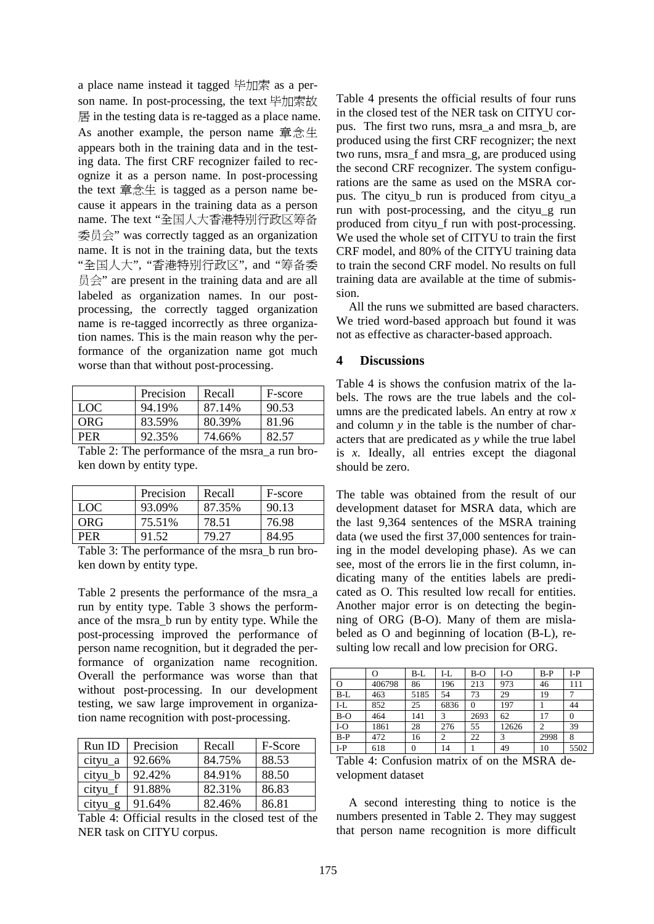a place name instead it tagged 毕加索 as a person name. In post-processing, the text 毕加索故 居 in the testing data is re-tagged as a place name. As another example, the person name 章念生 appears both in the training data and in the testing data. The first CRF recognizer failed to recognize it as a person name. In post-processing the text 章念生 is tagged as a person name because it appears in the training data as a person name. The text "全国人大香港特别行政区筹备 委员会" was correctly tagged as an organization name. It is not in the training data, but the texts "全国人大", "香港特别行政区", and "筹备委 员会" are present in the training data and are all labeled as organization names. In our postprocessing, the correctly tagged organization name is re-tagged incorrectly as three organization names. This is the main reason why the performance of the organization name got much worse than that without post-processing.

|            | Precision | Recall | F-score |
|------------|-----------|--------|---------|
| LOC        | 94.19%    | 87.14% | 90.53   |
| ORG        | 83.59%    | 80.39% | 81.96   |
| <b>PER</b> | 92.35%    | 74.66% | 82.57   |

Table 2: The performance of the msra\_a run broken down by entity type.

|            | Precision | Recall | F-score |
|------------|-----------|--------|---------|
| <b>LOC</b> | 93.09%    | 87.35% | 90.13   |
| ORG        | 75.51%    | 78.51  | 76.98   |
| PFR        | 91.52     | 79 27  | 84.95   |

Table 3: The performance of the msra\_b run broken down by entity type.

Table 2 presents the performance of the msra\_a run by entity type. Table 3 shows the performance of the msra\_b run by entity type. While the post-processing improved the performance of person name recognition, but it degraded the performance of organization name recognition. Overall the performance was worse than that without post-processing. In our development testing, we saw large improvement in organization name recognition with post-processing.

| Run ID    | Precision | Recall | F-Score |
|-----------|-----------|--------|---------|
| cityu_a   | 92.66%    | 84.75% | 88.53   |
| cityu_b   | 92.42%    | 84.91% | 88.50   |
| cityu_f   | 91.88%    | 82.31% | 86.83   |
| $cityu_g$ | 91.64%    | 82.46% | 86.81   |

Table 4: Official results in the closed test of the NER task on CITYU corpus.

Table 4 presents the official results of four runs in the closed test of the NER task on CITYU corpus. The first two runs, msra\_a and msra\_b, are produced using the first CRF recognizer; the next two runs, msra\_f and msra\_g, are produced using the second CRF recognizer. The system configurations are the same as used on the MSRA corpus. The cityu\_b run is produced from cityu\_a run with post-processing, and the cityu\_g run produced from cityu\_f run with post-processing. We used the whole set of CITYU to train the first CRF model, and 80% of the CITYU training data to train the second CRF model. No results on full training data are available at the time of submission.

All the runs we submitted are based characters. We tried word-based approach but found it was not as effective as character-based approach.

### **4 Discussions**

Table 4 is shows the confusion matrix of the labels. The rows are the true labels and the columns are the predicated labels. An entry at row *x* and column *y* in the table is the number of characters that are predicated as *y* while the true label is *x*. Ideally, all entries except the diagonal should be zero.

The table was obtained from the result of our development dataset for MSRA data, which are the last 9,364 sentences of the MSRA training data (we used the first 37,000 sentences for training in the model developing phase). As we can see, most of the errors lie in the first column, indicating many of the entities labels are predicated as O. This resulted low recall for entities. Another major error is on detecting the beginning of ORG (B-O). Many of them are mislabeled as O and beginning of location (B-L), resulting low recall and low precision for ORG.

|       | O      | $B-L$    | I-L  | B-O      | I-O   | $B-P$ | I-P  |
|-------|--------|----------|------|----------|-------|-------|------|
| О     | 406798 | 86       | 196  | 213      | 973   | 46    | 111  |
| $B-L$ | 463    | 5185     | 54   | 73       | 29    | 19    |      |
| $I-L$ | 852    | 25       | 6836 | $\Omega$ | 197   |       | 44   |
| $B-O$ | 464    | 141      | 3    | 2693     | 62    | 17    |      |
| $I-O$ | 1861   | 28       | 276  | 55       | 12626 | 2     | 39   |
| $B-P$ | 472    | 16       | 2    | 22       | 3     | 2998  | 8    |
| $I-P$ | 618    | $\theta$ | 14   |          | 49    | 10    | 5502 |
|       |        |          |      |          |       |       |      |

Table 4: Confusion matrix of on the MSRA development dataset

A second interesting thing to notice is the numbers presented in Table 2. They may suggest that person name recognition is more difficult